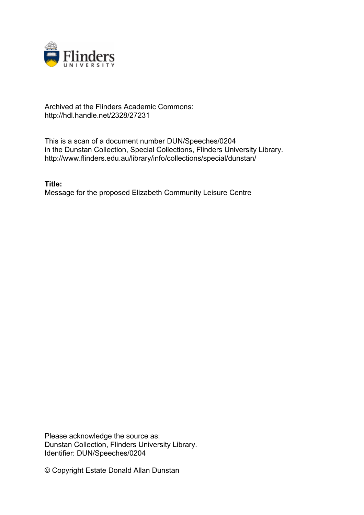

## Archived at the Flinders Academic Commons: http://hdl.handle.net/2328/27231

This is a scan of a document number DUN/Speeches/0204 in the Dunstan Collection, Special Collections, Flinders University Library. http://www.flinders.edu.au/library/info/collections/special/dunstan/

**Title:** Message for the proposed Elizabeth Community Leisure Centre

Please acknowledge the source as: Dunstan Collection, Flinders University Library. Identifier: DUN/Speeches/0204

© Copyright Estate Donald Allan Dunstan